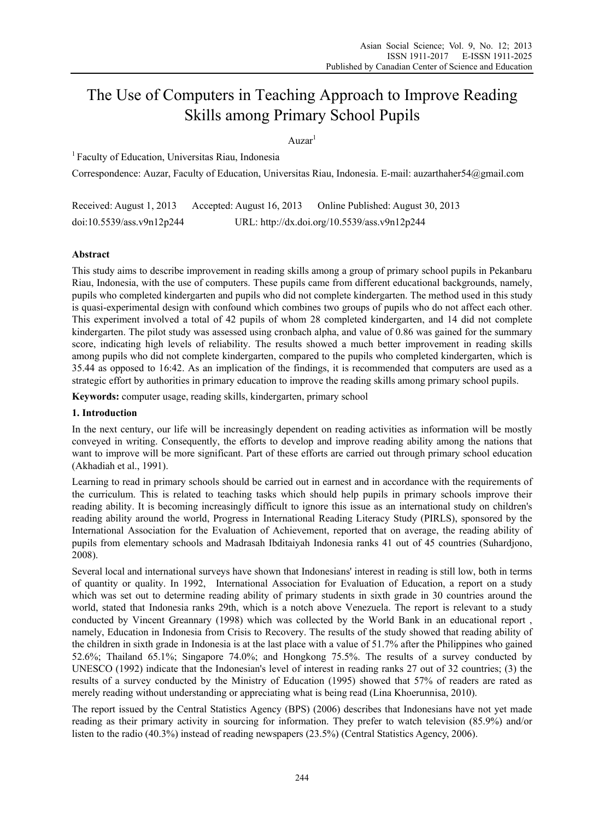# The Use of Computers in Teaching Approach to Improve Reading Skills among Primary School Pupils

Auzar<sup>1</sup>

1 Faculty of Education, Universitas Riau, Indonesia

Correspondence: Auzar, Faculty of Education, Universitas Riau, Indonesia. E-mail: auzarthaher54@gmail.com

Received: August 1, 2013 Accepted: August 16, 2013 Online Published: August 30, 2013 doi:10.5539/ass.v9n12p244 URL: http://dx.doi.org/10.5539/ass.v9n12p244

# **Abstract**

This study aims to describe improvement in reading skills among a group of primary school pupils in Pekanbaru Riau, Indonesia, with the use of computers. These pupils came from different educational backgrounds, namely, pupils who completed kindergarten and pupils who did not complete kindergarten. The method used in this study is quasi-experimental design with confound which combines two groups of pupils who do not affect each other. This experiment involved a total of 42 pupils of whom 28 completed kindergarten, and 14 did not complete kindergarten. The pilot study was assessed using cronbach alpha, and value of 0.86 was gained for the summary score, indicating high levels of reliability. The results showed a much better improvement in reading skills among pupils who did not complete kindergarten, compared to the pupils who completed kindergarten, which is 35.44 as opposed to 16:42. As an implication of the findings, it is recommended that computers are used as a strategic effort by authorities in primary education to improve the reading skills among primary school pupils.

**Keywords:** computer usage, reading skills, kindergarten, primary school

#### **1. Introduction**

In the next century, our life will be increasingly dependent on reading activities as information will be mostly conveyed in writing. Consequently, the efforts to develop and improve reading ability among the nations that want to improve will be more significant. Part of these efforts are carried out through primary school education (Akhadiah et al., 1991).

Learning to read in primary schools should be carried out in earnest and in accordance with the requirements of the curriculum. This is related to teaching tasks which should help pupils in primary schools improve their reading ability. It is becoming increasingly difficult to ignore this issue as an international study on children's reading ability around the world, Progress in International Reading Literacy Study (PIRLS), sponsored by the International Association for the Evaluation of Achievement, reported that on average, the reading ability of pupils from elementary schools and Madrasah Ibditaiyah Indonesia ranks 41 out of 45 countries (Suhardjono, 2008).

Several local and international surveys have shown that Indonesians' interest in reading is still low, both in terms of quantity or quality. In 1992, International Association for Evaluation of Education, a report on a study which was set out to determine reading ability of primary students in sixth grade in 30 countries around the world, stated that Indonesia ranks 29th, which is a notch above Venezuela. The report is relevant to a study conducted by Vincent Greannary (1998) which was collected by the World Bank in an educational report , namely, Education in Indonesia from Crisis to Recovery. The results of the study showed that reading ability of the children in sixth grade in Indonesia is at the last place with a value of 51.7% after the Philippines who gained 52.6%; Thailand 65.1%; Singapore 74.0%; and Hongkong 75.5%. The results of a survey conducted by UNESCO (1992) indicate that the Indonesian's level of interest in reading ranks 27 out of 32 countries; (3) the results of a survey conducted by the Ministry of Education (1995) showed that 57% of readers are rated as merely reading without understanding or appreciating what is being read (Lina Khoerunnisa, 2010).

The report issued by the Central Statistics Agency (BPS) (2006) describes that Indonesians have not yet made reading as their primary activity in sourcing for information. They prefer to watch television (85.9%) and/or listen to the radio (40.3%) instead of reading newspapers (23.5%) (Central Statistics Agency, 2006).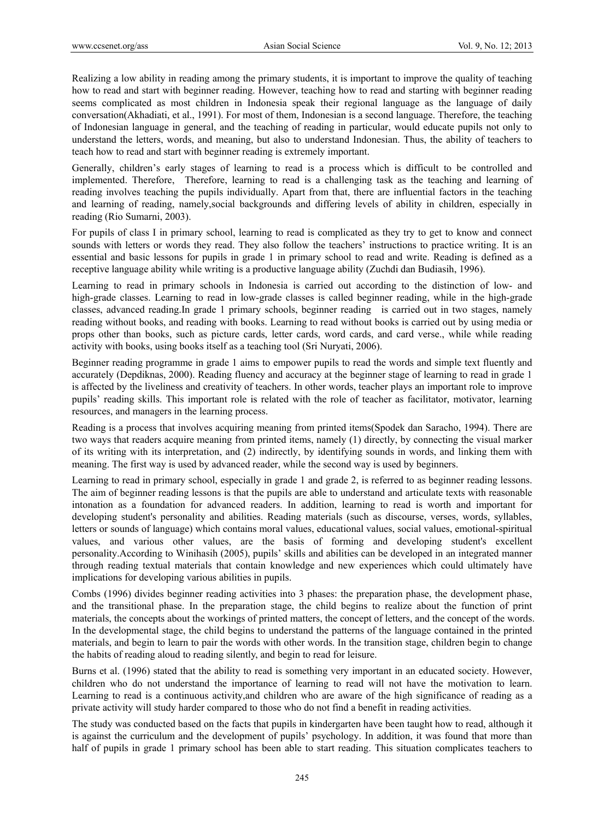Realizing a low ability in reading among the primary students, it is important to improve the quality of teaching how to read and start with beginner reading. However, teaching how to read and starting with beginner reading seems complicated as most children in Indonesia speak their regional language as the language of daily conversation(Akhadiati, et al., 1991). For most of them, Indonesian is a second language. Therefore, the teaching of Indonesian language in general, and the teaching of reading in particular, would educate pupils not only to understand the letters, words, and meaning, but also to understand Indonesian. Thus, the ability of teachers to teach how to read and start with beginner reading is extremely important.

Generally, children's early stages of learning to read is a process which is difficult to be controlled and implemented. Therefore, Therefore, learning to read is a challenging task as the teaching and learning of reading involves teaching the pupils individually. Apart from that, there are influential factors in the teaching and learning of reading, namely,social backgrounds and differing levels of ability in children, especially in reading (Rio Sumarni, 2003).

For pupils of class I in primary school, learning to read is complicated as they try to get to know and connect sounds with letters or words they read. They also follow the teachers' instructions to practice writing. It is an essential and basic lessons for pupils in grade 1 in primary school to read and write. Reading is defined as a receptive language ability while writing is a productive language ability (Zuchdi dan Budiasih, 1996).

Learning to read in primary schools in Indonesia is carried out according to the distinction of low- and high-grade classes. Learning to read in low-grade classes is called beginner reading, while in the high-grade classes, advanced reading.In grade 1 primary schools, beginner reading is carried out in two stages, namely reading without books, and reading with books. Learning to read without books is carried out by using media or props other than books, such as picture cards, letter cards, word cards, and card verse., while while reading activity with books, using books itself as a teaching tool (Sri Nuryati, 2006).

Beginner reading programme in grade 1 aims to empower pupils to read the words and simple text fluently and accurately (Depdiknas, 2000). Reading fluency and accuracy at the beginner stage of learning to read in grade 1 is affected by the liveliness and creativity of teachers. In other words, teacher plays an important role to improve pupils' reading skills. This important role is related with the role of teacher as facilitator, motivator, learning resources, and managers in the learning process.

Reading is a process that involves acquiring meaning from printed items(Spodek dan Saracho, 1994). There are two ways that readers acquire meaning from printed items, namely (1) directly, by connecting the visual marker of its writing with its interpretation, and (2) indirectly, by identifying sounds in words, and linking them with meaning. The first way is used by advanced reader, while the second way is used by beginners.

Learning to read in primary school, especially in grade 1 and grade 2, is referred to as beginner reading lessons. The aim of beginner reading lessons is that the pupils are able to understand and articulate texts with reasonable intonation as a foundation for advanced readers. In addition, learning to read is worth and important for developing student's personality and abilities. Reading materials (such as discourse, verses, words, syllables, letters or sounds of language) which contains moral values, educational values, social values, emotional-spiritual values, and various other values, are the basis of forming and developing student's excellent personality.According to Winihasih (2005), pupils' skills and abilities can be developed in an integrated manner through reading textual materials that contain knowledge and new experiences which could ultimately have implications for developing various abilities in pupils.

Combs (1996) divides beginner reading activities into 3 phases: the preparation phase, the development phase, and the transitional phase. In the preparation stage, the child begins to realize about the function of print materials, the concepts about the workings of printed matters, the concept of letters, and the concept of the words. In the developmental stage, the child begins to understand the patterns of the language contained in the printed materials, and begin to learn to pair the words with other words. In the transition stage, children begin to change the habits of reading aloud to reading silently, and begin to read for leisure.

Burns et al. (1996) stated that the ability to read is something very important in an educated society. However, children who do not understand the importance of learning to read will not have the motivation to learn. Learning to read is a continuous activity,and children who are aware of the high significance of reading as a private activity will study harder compared to those who do not find a benefit in reading activities.

The study was conducted based on the facts that pupils in kindergarten have been taught how to read, although it is against the curriculum and the development of pupils' psychology. In addition, it was found that more than half of pupils in grade 1 primary school has been able to start reading. This situation complicates teachers to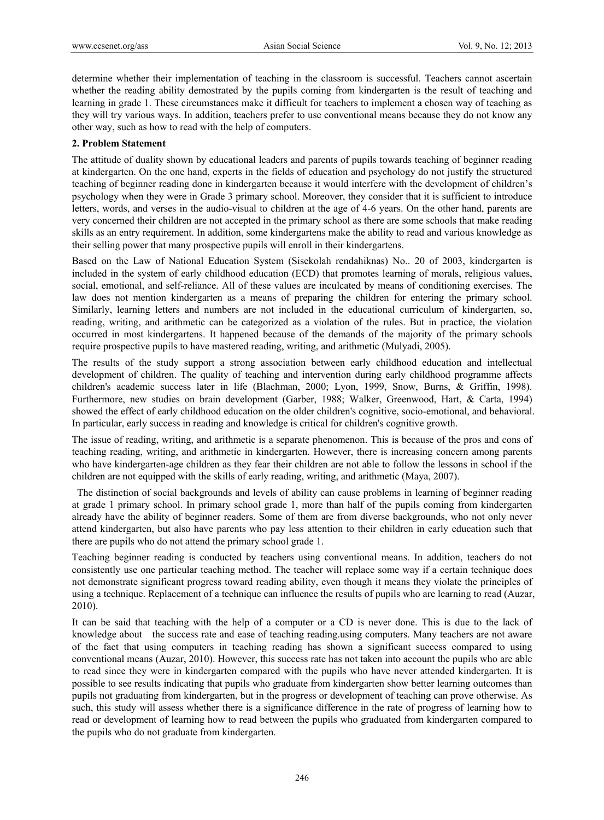determine whether their implementation of teaching in the classroom is successful. Teachers cannot ascertain whether the reading ability demostrated by the pupils coming from kindergarten is the result of teaching and learning in grade 1. These circumstances make it difficult for teachers to implement a chosen way of teaching as they will try various ways. In addition, teachers prefer to use conventional means because they do not know any other way, such as how to read with the help of computers.

#### **2. Problem Statement**

The attitude of duality shown by educational leaders and parents of pupils towards teaching of beginner reading at kindergarten. On the one hand, experts in the fields of education and psychology do not justify the structured teaching of beginner reading done in kindergarten because it would interfere with the development of children's psychology when they were in Grade 3 primary school. Moreover, they consider that it is sufficient to introduce letters, words, and verses in the audio-visual to children at the age of 4-6 years. On the other hand, parents are very concerned their children are not accepted in the primary school as there are some schools that make reading skills as an entry requirement. In addition, some kindergartens make the ability to read and various knowledge as their selling power that many prospective pupils will enroll in their kindergartens.

Based on the Law of National Education System (Sisekolah rendahiknas) No.. 20 of 2003, kindergarten is included in the system of early childhood education (ECD) that promotes learning of morals, religious values, social, emotional, and self-reliance. All of these values are inculcated by means of conditioning exercises. The law does not mention kindergarten as a means of preparing the children for entering the primary school. Similarly, learning letters and numbers are not included in the educational curriculum of kindergarten, so, reading, writing, and arithmetic can be categorized as a violation of the rules. But in practice, the violation occurred in most kindergartens. It happened because of the demands of the majority of the primary schools require prospective pupils to have mastered reading, writing, and arithmetic (Mulyadi, 2005).

The results of the study support a strong association between early childhood education and intellectual development of children. The quality of teaching and intervention during early childhood programme affects children's academic success later in life (Blachman, 2000; Lyon, 1999, Snow, Burns, & Griffin, 1998). Furthermore, new studies on brain development (Garber, 1988; Walker, Greenwood, Hart, & Carta, 1994) showed the effect of early childhood education on the older children's cognitive, socio-emotional, and behavioral. In particular, early success in reading and knowledge is critical for children's cognitive growth.

The issue of reading, writing, and arithmetic is a separate phenomenon. This is because of the pros and cons of teaching reading, writing, and arithmetic in kindergarten. However, there is increasing concern among parents who have kindergarten-age children as they fear their children are not able to follow the lessons in school if the children are not equipped with the skills of early reading, writing, and arithmetic (Maya, 2007).

 The distinction of social backgrounds and levels of ability can cause problems in learning of beginner reading at grade 1 primary school. In primary school grade 1, more than half of the pupils coming from kindergarten already have the ability of beginner readers. Some of them are from diverse backgrounds, who not only never attend kindergarten, but also have parents who pay less attention to their children in early education such that there are pupils who do not attend the primary school grade 1.

Teaching beginner reading is conducted by teachers using conventional means. In addition, teachers do not consistently use one particular teaching method. The teacher will replace some way if a certain technique does not demonstrate significant progress toward reading ability, even though it means they violate the principles of using a technique. Replacement of a technique can influence the results of pupils who are learning to read (Auzar, 2010).

It can be said that teaching with the help of a computer or a CD is never done. This is due to the lack of knowledge about the success rate and ease of teaching reading.using computers. Many teachers are not aware of the fact that using computers in teaching reading has shown a significant success compared to using conventional means (Auzar, 2010). However, this success rate has not taken into account the pupils who are able to read since they were in kindergarten compared with the pupils who have never attended kindergarten. It is possible to see results indicating that pupils who graduate from kindergarten show better learning outcomes than pupils not graduating from kindergarten, but in the progress or development of teaching can prove otherwise. As such, this study will assess whether there is a significance difference in the rate of progress of learning how to read or development of learning how to read between the pupils who graduated from kindergarten compared to the pupils who do not graduate from kindergarten.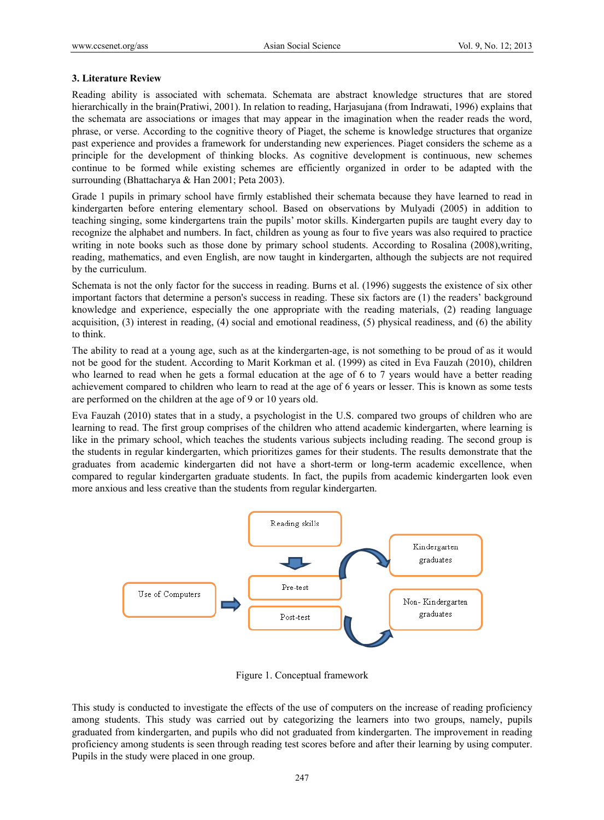## **3. Literature Review**

Reading ability is associated with schemata. Schemata are abstract knowledge structures that are stored hierarchically in the brain(Pratiwi, 2001). In relation to reading, Harjasujana (from Indrawati, 1996) explains that the schemata are associations or images that may appear in the imagination when the reader reads the word, phrase, or verse. According to the cognitive theory of Piaget, the scheme is knowledge structures that organize past experience and provides a framework for understanding new experiences. Piaget considers the scheme as a principle for the development of thinking blocks. As cognitive development is continuous, new schemes continue to be formed while existing schemes are efficiently organized in order to be adapted with the surrounding (Bhattacharya & Han 2001; Peta 2003).

Grade 1 pupils in primary school have firmly established their schemata because they have learned to read in kindergarten before entering elementary school. Based on observations by Mulyadi (2005) in addition to teaching singing, some kindergartens train the pupils' motor skills. Kindergarten pupils are taught every day to recognize the alphabet and numbers. In fact, children as young as four to five years was also required to practice writing in note books such as those done by primary school students. According to Rosalina (2008), writing, reading, mathematics, and even English, are now taught in kindergarten, although the subjects are not required by the curriculum.

Schemata is not the only factor for the success in reading. Burns et al. (1996) suggests the existence of six other important factors that determine a person's success in reading. These six factors are (1) the readers' background knowledge and experience, especially the one appropriate with the reading materials, (2) reading language acquisition, (3) interest in reading, (4) social and emotional readiness, (5) physical readiness, and (6) the ability to think.

The ability to read at a young age, such as at the kindergarten-age, is not something to be proud of as it would not be good for the student. According to Marit Korkman et al. (1999) as cited in Eva Fauzah (2010), children who learned to read when he gets a formal education at the age of 6 to 7 years would have a better reading achievement compared to children who learn to read at the age of 6 years or lesser. This is known as some tests are performed on the children at the age of 9 or 10 years old.

Eva Fauzah (2010) states that in a study, a psychologist in the U.S. compared two groups of children who are learning to read. The first group comprises of the children who attend academic kindergarten, where learning is like in the primary school, which teaches the students various subjects including reading. The second group is the students in regular kindergarten, which prioritizes games for their students. The results demonstrate that the graduates from academic kindergarten did not have a short-term or long-term academic excellence, when compared to regular kindergarten graduate students. In fact, the pupils from academic kindergarten look even more anxious and less creative than the students from regular kindergarten.



Figure 1. Conceptual framework

This study is conducted to investigate the effects of the use of computers on the increase of reading proficiency among students. This study was carried out by categorizing the learners into two groups, namely, pupils graduated from kindergarten, and pupils who did not graduated from kindergarten. The improvement in reading proficiency among students is seen through reading test scores before and after their learning by using computer. Pupils in the study were placed in one group.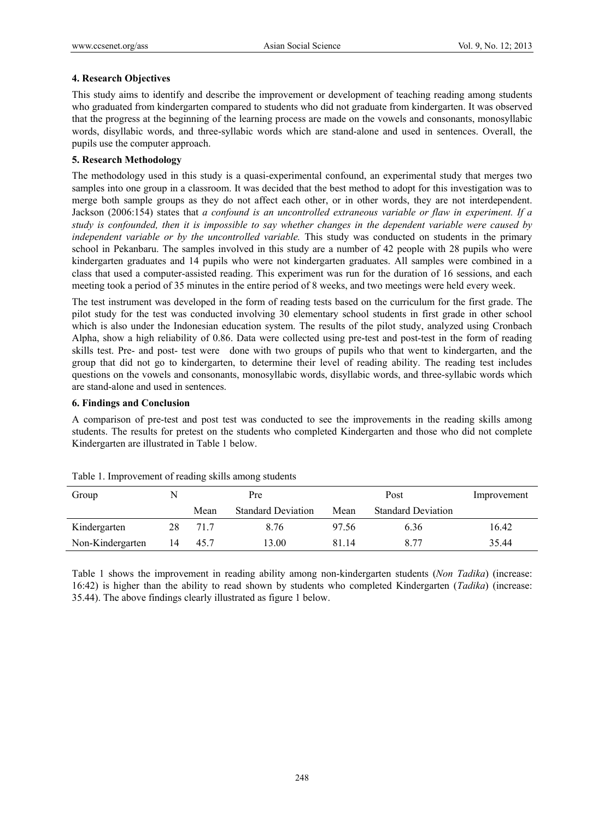## **4. Research Objectives**

This study aims to identify and describe the improvement or development of teaching reading among students who graduated from kindergarten compared to students who did not graduate from kindergarten. It was observed that the progress at the beginning of the learning process are made on the vowels and consonants, monosyllabic words, disyllabic words, and three-syllabic words which are stand-alone and used in sentences. Overall, the pupils use the computer approach.

# **5. Research Methodology**

The methodology used in this study is a quasi-experimental confound, an experimental study that merges two samples into one group in a classroom. It was decided that the best method to adopt for this investigation was to merge both sample groups as they do not affect each other, or in other words, they are not interdependent. Jackson (2006:154) states that *a confound is an uncontrolled extraneous variable or flaw in experiment. If a study is confounded, then it is impossible to say whether changes in the dependent variable were caused by independent variable or by the uncontrolled variable*. This study was conducted on students in the primary school in Pekanbaru. The samples involved in this study are a number of 42 people with 28 pupils who were kindergarten graduates and 14 pupils who were not kindergarten graduates. All samples were combined in a class that used a computer-assisted reading. This experiment was run for the duration of 16 sessions, and each meeting took a period of 35 minutes in the entire period of 8 weeks, and two meetings were held every week.

The test instrument was developed in the form of reading tests based on the curriculum for the first grade. The pilot study for the test was conducted involving 30 elementary school students in first grade in other school which is also under the Indonesian education system. The results of the pilot study, analyzed using Cronbach Alpha, show a high reliability of 0.86. Data were collected using pre-test and post-test in the form of reading skills test. Pre- and post- test were done with two groups of pupils who that went to kindergarten, and the group that did not go to kindergarten, to determine their level of reading ability. The reading test includes questions on the vowels and consonants, monosyllabic words, disyllabic words, and three-syllabic words which are stand-alone and used in sentences.

## **6. Findings and Conclusion**

A comparison of pre-test and post test was conducted to see the improvements in the reading skills among students. The results for pretest on the students who completed Kindergarten and those who did not complete Kindergarten are illustrated in Table 1 below.

| Group            |    | Pre  |                           | Post  |                           | Improvement |
|------------------|----|------|---------------------------|-------|---------------------------|-------------|
|                  |    | Mean | <b>Standard Deviation</b> | Mean  | <b>Standard Deviation</b> |             |
| Kindergarten     | 28 | 71.7 | 8.76                      | 97.56 | 6.36                      | 16.42       |
| Non-Kindergarten | 14 | 45.7 | 3.00                      | 81.14 | 8.77                      | 35.44       |

| Table 1. Improvement of reading skills among students |  |  |
|-------------------------------------------------------|--|--|
|                                                       |  |  |

Table 1 shows the improvement in reading ability among non-kindergarten students (*Non Tadika*) (increase: 16:42) is higher than the ability to read shown by students who completed Kindergarten (*Tadika*) (increase: 35.44). The above findings clearly illustrated as figure 1 below.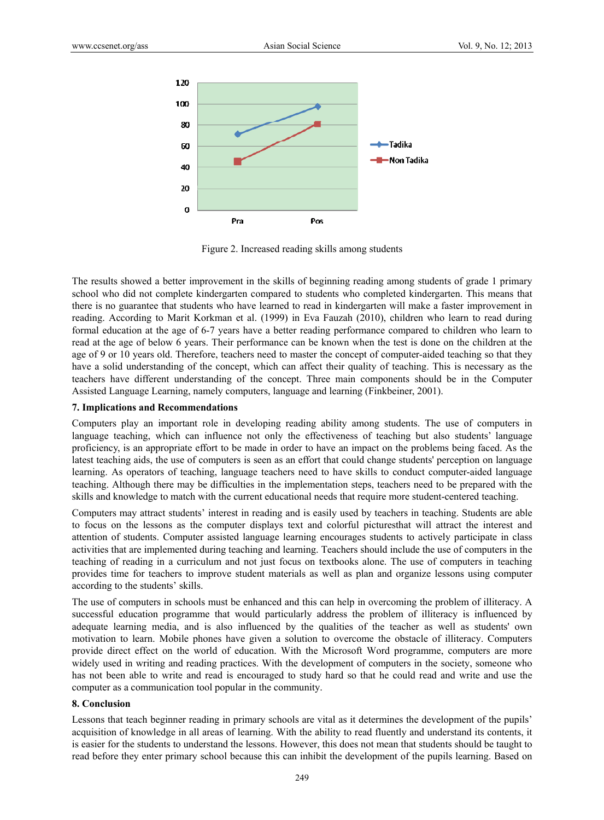

Figure 2. Increased reading skills among students

The results showed a better improvement in the skills of beginning reading among students of grade 1 primary school who did not complete kindergarten compared to students who completed kindergarten. This means that there is no guarantee that students who have learned to read in kindergarten will make a faster improvement in reading. According to Marit Korkman et al. (1999) in Eva Fauzah (2010), children who learn to read during formal education at the age of 6-7 years have a better reading performance compared to children who learn to read at the age of below 6 years. Their performance can be known when the test is done on the children at the age of 9 or 10 years old. Therefore, teachers need to master the concept of computer-aided teaching so that they have a solid understanding of the concept, which can affect their quality of teaching. This is necessary as the teachers have different understanding of the concept. Three main components should be in the Computer Assisted Language Learning, namely computers, language and learning (Finkbeiner, 2001).

#### **7. Implications and Recommendations**

Computers play an important role in developing reading ability among students. The use of computers in language teaching, which can influence not only the effectiveness of teaching but also students' language proficiency, is an appropriate effort to be made in order to have an impact on the problems being faced. As the latest teaching aids, the use of computers is seen as an effort that could change students' perception on language learning. As operators of teaching, language teachers need to have skills to conduct computer-aided language teaching. Although there may be difficulties in the implementation steps, teachers need to be prepared with the skills and knowledge to match with the current educational needs that require more student-centered teaching.

Computers may attract students' interest in reading and is easily used by teachers in teaching. Students are able to focus on the lessons as the computer displays text and colorful picturesthat will attract the interest and attention of students. Computer assisted language learning encourages students to actively participate in class activities that are implemented during teaching and learning. Teachers should include the use of computers in the teaching of reading in a curriculum and not just focus on textbooks alone. The use of computers in teaching provides time for teachers to improve student materials as well as plan and organize lessons using computer according to the students' skills.

The use of computers in schools must be enhanced and this can help in overcoming the problem of illiteracy. A successful education programme that would particularly address the problem of illiteracy is influenced by adequate learning media, and is also influenced by the qualities of the teacher as well as students' own motivation to learn. Mobile phones have given a solution to overcome the obstacle of illiteracy. Computers provide direct effect on the world of education. With the Microsoft Word programme, computers are more widely used in writing and reading practices. With the development of computers in the society, someone who has not been able to write and read is encouraged to study hard so that he could read and write and use the computer as a communication tool popular in the community.

#### **8. Conclusion**

Lessons that teach beginner reading in primary schools are vital as it determines the development of the pupils' acquisition of knowledge in all areas of learning. With the ability to read fluently and understand its contents, it is easier for the students to understand the lessons. However, this does not mean that students should be taught to read before they enter primary school because this can inhibit the development of the pupils learning. Based on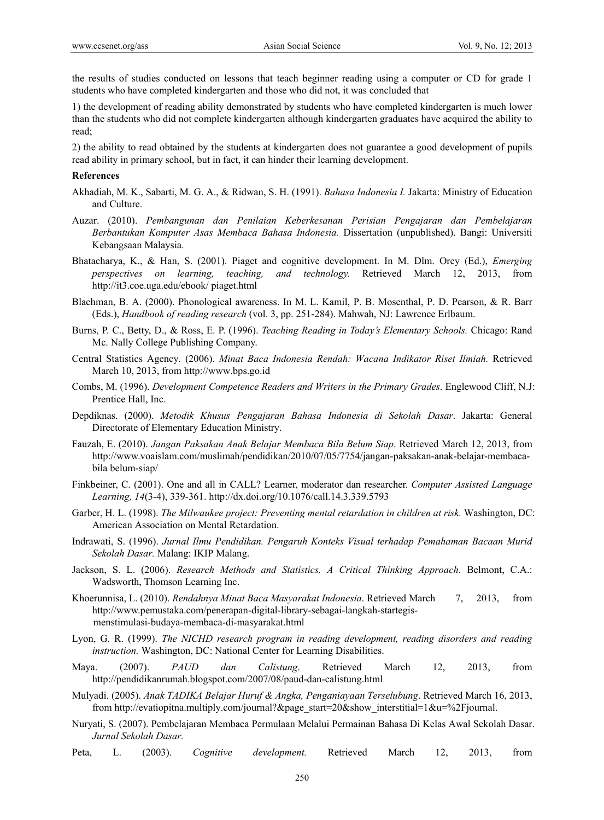the results of studies conducted on lessons that teach beginner reading using a computer or CD for grade 1 students who have completed kindergarten and those who did not, it was concluded that

1) the development of reading ability demonstrated by students who have completed kindergarten is much lower than the students who did not complete kindergarten although kindergarten graduates have acquired the ability to read;

2) the ability to read obtained by the students at kindergarten does not guarantee a good development of pupils read ability in primary school, but in fact, it can hinder their learning development.

#### **References**

- Akhadiah, M. K., Sabarti, M. G. A., & Ridwan, S. H. (1991). *Bahasa Indonesia I.* Jakarta: Ministry of Education and Culture.
- Auzar. (2010). *Pembangunan dan Penilaian Keberkesanan Perisian Pengajaran dan Pembelajaran Berbantukan Komputer Asas Membaca Bahasa Indonesia.* Dissertation (unpublished). Bangi: Universiti Kebangsaan Malaysia.
- Bhatacharya, K., & Han, S. (2001). Piaget and cognitive development. In M. Dlm. Orey (Ed.), *Emerging perspectives on learning, teaching, and technology.* Retrieved March 12, 2013, from http://it3.coe.uga.edu/ebook/ piaget.html
- Blachman, B. A. (2000). Phonological awareness. In M. L. Kamil, P. B. Mosenthal, P. D. Pearson, & R. Barr (Eds.), *Handbook of reading research* (vol. 3, pp. 251-284). Mahwah, NJ: Lawrence Erlbaum.
- Burns, P. C., Betty, D., & Ross, E. P. (1996). *Teaching Reading in Today's Elementary Schools.* Chicago: Rand Mc. Nally College Publishing Company.
- Central Statistics Agency. (2006). *Minat Baca Indonesia Rendah: Wacana Indikator Riset Ilmiah.* Retrieved March 10, 2013, from http://www.bps.go.id
- Combs, M. (1996). *Development Competence Readers and Writers in the Primary Grades*. Englewood Cliff, N.J: Prentice Hall, Inc.
- Depdiknas. (2000). *Metodik Khusus Pengajaran Bahasa Indonesia di Sekolah Dasar*. Jakarta: General Directorate of Elementary Education Ministry.
- Fauzah, E. (2010). *Jangan Paksakan Anak Belajar Membaca Bila Belum Siap*. Retrieved March 12, 2013, from http://www.voaislam.com/muslimah/pendidikan/2010/07/05/7754/jangan-paksakan-anak-belajar-membacabila belum-siap/
- Finkbeiner, C. (2001). One and all in CALL? Learner, moderator dan researcher. *Computer Assisted Language Learning, 14*(3-4), 339-361. http://dx.doi.org/10.1076/call.14.3.339.5793
- Garber, H. L. (1998). *The Milwaukee project: Preventing mental retardation in children at risk.* Washington, DC: American Association on Mental Retardation.
- Indrawati, S. (1996). *Jurnal Ilmu Pendidikan. Pengaruh Konteks Visual terhadap Pemahaman Bacaan Murid Sekolah Dasar.* Malang: IKIP Malang.
- Jackson, S. L. (2006). *Research Methods and Statistics. A Critical Thinking Approach*. Belmont, C.A.: Wadsworth, Thomson Learning Inc.
- Khoerunnisa, L. (2010). *Rendahnya Minat Baca Masyarakat Indonesia*. Retrieved March 7, 2013, from http://www.pemustaka.com/penerapan-digital-library-sebagai-langkah-startegis menstimulasi-budaya-membaca-di-masyarakat.html
- Lyon, G. R. (1999). *The NICHD research program in reading development, reading disorders and reading instruction.* Washington, DC: National Center for Learning Disabilities.
- Maya. (2007). *PAUD dan Calistung*. Retrieved March 12, 2013, from http://pendidikanrumah.blogspot.com/2007/08/paud-dan-calistung.html
- Mulyadi. (2005). *Anak TADIKA Belajar Huruf & Angka, Penganiayaan Terselubung*. Retrieved March 16, 2013, from http://evatiopitna.multiply.com/journal?&page\_start=20&show\_interstitial=1&u=%2Fjournal.
- Nuryati, S. (2007). Pembelajaran Membaca Permulaan Melalui Permainan Bahasa Di Kelas Awal Sekolah Dasar. *Jurnal Sekolah Dasar.*
- Peta, L. (2003). *Cognitive development.* Retrieved March 12, 2013, from